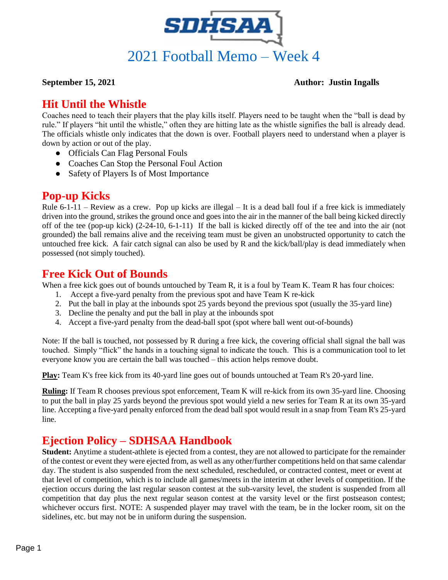

#### **September 15, 2021 Author: Justin Ingalls**

## **Hit Until the Whistle**

Coaches need to teach their players that the play kills itself. Players need to be taught when the "ball is dead by rule." If players "hit until the whistle," often they are hitting late as the whistle signifies the ball is already dead. The officials whistle only indicates that the down is over. Football players need to understand when a player is down by action or out of the play.

- Officials Can Flag Personal Fouls
- Coaches Can Stop the Personal Foul Action
- Safety of Players Is of Most Importance

# **Pop-up Kicks**

Rule 6-1-11 – Review as a crew. Pop up kicks are illegal – It is a dead ball foul if a free kick is immediately driven into the ground, strikes the ground once and goes into the air in the manner of the ball being kicked directly off of the tee (pop-up kick) (2-24-10, 6-1-11) If the ball is kicked directly off of the tee and into the air (not grounded) the ball remains alive and the receiving team must be given an unobstructed opportunity to catch the untouched free kick. A fair catch signal can also be used by R and the kick/ball/play is dead immediately when possessed (not simply touched).

### **Free Kick Out of Bounds**

When a free kick goes out of bounds untouched by Team R, it is a foul by Team K. Team R has four choices:

- 1. Accept a five-yard penalty from the previous spot and have Team K re-kick
- 2. Put the ball in play at the inbounds spot 25 yards beyond the previous spot (usually the 35-yard line)
- 3. Decline the penalty and put the ball in play at the inbounds spot
- 4. Accept a five-yard penalty from the dead-ball spot (spot where ball went out-of-bounds)

Note: If the ball is touched, not possessed by R during a free kick, the covering official shall signal the ball was touched. Simply "flick" the hands in a touching signal to indicate the touch. This is a communication tool to let everyone know you are certain the ball was touched – this action helps remove doubt.

**Play:** Team K's free kick from its 40-yard line goes out of bounds untouched at Team R's 20-yard line.

**Ruling:** If Team R chooses previous spot enforcement, Team K will re-kick from its own 35-yard line. Choosing to put the ball in play 25 yards beyond the previous spot would yield a new series for Team R at its own 35-yard line. Accepting a five-yard penalty enforced from the dead ball spot would result in a snap from Team R's 25-yard line.

# **Ejection Policy – SDHSAA Handbook**

**Student:** Anytime a student-athlete is ejected from a contest, they are not allowed to participate for the remainder of the contest or event they were ejected from, as well as any other/further competitions held on that same calendar day. The student is also suspended from the next scheduled, rescheduled, or contracted contest, meet or event at that level of competition, which is to include all games/meets in the interim at other levels of competition. If the ejection occurs during the last regular season contest at the sub-varsity level, the student is suspended from all competition that day plus the next regular season contest at the varsity level or the first postseason contest; whichever occurs first. NOTE: A suspended player may travel with the team, be in the locker room, sit on the sidelines, etc. but may not be in uniform during the suspension.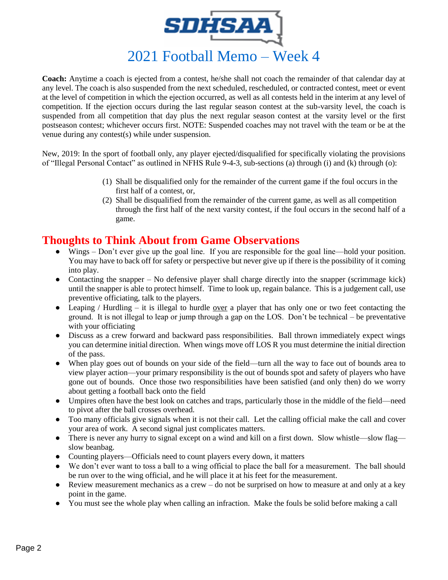

**Coach:** Anytime a coach is ejected from a contest, he/she shall not coach the remainder of that calendar day at any level. The coach is also suspended from the next scheduled, rescheduled, or contracted contest, meet or event at the level of competition in which the ejection occurred, as well as all contests held in the interim at any level of competition. If the ejection occurs during the last regular season contest at the sub-varsity level, the coach is suspended from all competition that day plus the next regular season contest at the varsity level or the first postseason contest; whichever occurs first. NOTE: Suspended coaches may not travel with the team or be at the venue during any contest(s) while under suspension.

New, 2019: In the sport of football only, any player ejected/disqualified for specifically violating the provisions of "Illegal Personal Contact" as outlined in NFHS Rule 9-4-3, sub-sections (a) through (i) and (k) through (o):

- (1) Shall be disqualified only for the remainder of the current game if the foul occurs in the first half of a contest, or,
- (2) Shall be disqualified from the remainder of the current game, as well as all competition through the first half of the next varsity contest, if the foul occurs in the second half of a game.

### **Thoughts to Think About from Game Observations**

- Wings Don't ever give up the goal line. If you are responsible for the goal line—hold your position. You may have to back off for safety or perspective but never give up if there is the possibility of it coming into play.
- Contacting the snapper No defensive player shall charge directly into the snapper (scrimmage kick) until the snapper is able to protect himself. Time to look up, regain balance. This is a judgement call, use preventive officiating, talk to the players.
- Leaping / Hurdling it is illegal to hurdle over a player that has only one or two feet contacting the ground. It is not illegal to leap or jump through a gap on the LOS. Don't be technical – be preventative with your officiating
- Discuss as a crew forward and backward pass responsibilities. Ball thrown immediately expect wings you can determine initial direction. When wings move off LOS R you must determine the initial direction of the pass.
- When play goes out of bounds on your side of the field—turn all the way to face out of bounds area to view player action—your primary responsibility is the out of bounds spot and safety of players who have gone out of bounds. Once those two responsibilities have been satisfied (and only then) do we worry about getting a football back onto the field
- Umpires often have the best look on catches and traps, particularly those in the middle of the field—need to pivot after the ball crosses overhead.
- Too many officials give signals when it is not their call. Let the calling official make the call and cover your area of work. A second signal just complicates matters.
- There is never any hurry to signal except on a wind and kill on a first down. Slow whistle—slow flag slow beanbag.
- Counting players—Officials need to count players every down, it matters
- We don't ever want to toss a ball to a wing official to place the ball for a measurement. The ball should be run over to the wing official, and he will place it at his feet for the measurement.
- Review measurement mechanics as a crew  $-$  do not be surprised on how to measure at and only at a key point in the game.
- You must see the whole play when calling an infraction. Make the fouls be solid before making a call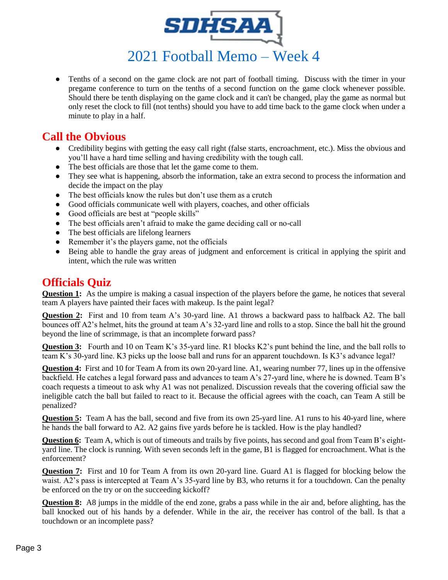

● Tenths of a second on the game clock are not part of football timing. Discuss with the timer in your pregame conference to turn on the tenths of a second function on the game clock whenever possible. Should there be tenth displaying on the game clock and it can't be changed, play the game as normal but only reset the clock to fill (not tenths) should you have to add time back to the game clock when under a minute to play in a half.

## **Call the Obvious**

- Credibility begins with getting the easy call right (false starts, encroachment, etc.). Miss the obvious and you'll have a hard time selling and having credibility with the tough call.
- The best officials are those that let the game come to them.
- They see what is happening, absorb the information, take an extra second to process the information and decide the impact on the play
- The best officials know the rules but don't use them as a crutch
- Good officials communicate well with players, coaches, and other officials
- Good officials are best at "people skills"
- The best officials aren't afraid to make the game deciding call or no-call
- The best officials are lifelong learners
- Remember it's the players game, not the officials
- Being able to handle the gray areas of judgment and enforcement is critical in applying the spirit and intent, which the rule was written

### **Officials Quiz**

**Question 1:** As the umpire is making a casual inspection of the players before the game, he notices that several team A players have painted their faces with makeup. Is the paint legal?

**Question 2:** First and 10 from team A's 30-yard line. A1 throws a backward pass to halfback A2. The ball bounces off A2's helmet, hits the ground at team A's 32-yard line and rolls to a stop. Since the ball hit the ground beyond the line of scrimmage, is that an incomplete forward pass?

**Question 3:** Fourth and 10 on Team K's 35-yard line. R1 blocks K2's punt behind the line, and the ball rolls to team K's 30-yard line. K3 picks up the loose ball and runs for an apparent touchdown. Is K3's advance legal?

**Question 4:** First and 10 for Team A from its own 20-yard line. A1, wearing number 77, lines up in the offensive backfield. He catches a legal forward pass and advances to team A's 27-yard line, where he is downed. Team B's coach requests a timeout to ask why A1 was not penalized. Discussion reveals that the covering official saw the ineligible catch the ball but failed to react to it. Because the official agrees with the coach, can Team A still be penalized?

**Question 5:** Team A has the ball, second and five from its own 25-yard line. A1 runs to his 40-yard line, where he hands the ball forward to A2. A2 gains five yards before he is tackled. How is the play handled?

**Question 6:** Team A, which is out of timeouts and trails by five points, has second and goal from Team B's eightyard line. The clock is running. With seven seconds left in the game, B1 is flagged for encroachment. What is the enforcement?

**Question 7:** First and 10 for Team A from its own 20-yard line. Guard A1 is flagged for blocking below the waist. A2's pass is intercepted at Team A's 35-yard line by B3, who returns it for a touchdown. Can the penalty be enforced on the try or on the succeeding kickoff?

**Question 8:** A8 jumps in the middle of the end zone, grabs a pass while in the air and, before alighting, has the ball knocked out of his hands by a defender. While in the air, the receiver has control of the ball. Is that a touchdown or an incomplete pass?